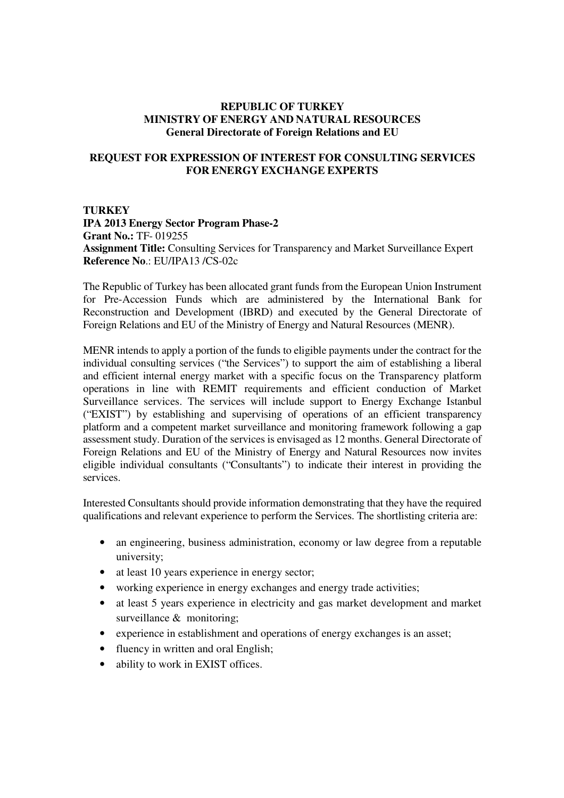## **REPUBLIC OF TURKEY MINISTRY OF ENERGY AND NATURAL RESOURCES General Directorate of Foreign Relations and EU**

## **REQUEST FOR EXPRESSION OF INTEREST FOR CONSULTING SERVICES FOR ENERGY EXCHANGE EXPERTS**

**TURKEY IPA 2013 Energy Sector Program Phase-2 Grant No.:** TF- 019255 **Assignment Title:** Consulting Services for Transparency and Market Surveillance Expert **Reference No**.: EU/IPA13 /CS-02c

The Republic of Turkey has been allocated grant funds from the European Union Instrument for Pre-Accession Funds which are administered by the International Bank for Reconstruction and Development (IBRD) and executed by the General Directorate of Foreign Relations and EU of the Ministry of Energy and Natural Resources (MENR).

MENR intends to apply a portion of the funds to eligible payments under the contract for the individual consulting services ("the Services") to support the aim of establishing a liberal and efficient internal energy market with a specific focus on the Transparency platform operations in line with REMIT requirements and efficient conduction of Market Surveillance services. The services will include support to Energy Exchange Istanbul ("EXIST") by establishing and supervising of operations of an efficient transparency platform and a competent market surveillance and monitoring framework following a gap assessment study. Duration of the services is envisaged as 12 months. General Directorate of Foreign Relations and EU of the Ministry of Energy and Natural Resources now invites eligible individual consultants ("Consultants") to indicate their interest in providing the services.

Interested Consultants should provide information demonstrating that they have the required qualifications and relevant experience to perform the Services. The shortlisting criteria are:

- an engineering, business administration, economy or law degree from a reputable university;
- at least 10 years experience in energy sector;
- working experience in energy exchanges and energy trade activities;
- at least 5 years experience in electricity and gas market development and market surveillance & monitoring;
- experience in establishment and operations of energy exchanges is an asset;
- fluency in written and oral English;
- ability to work in EXIST offices.